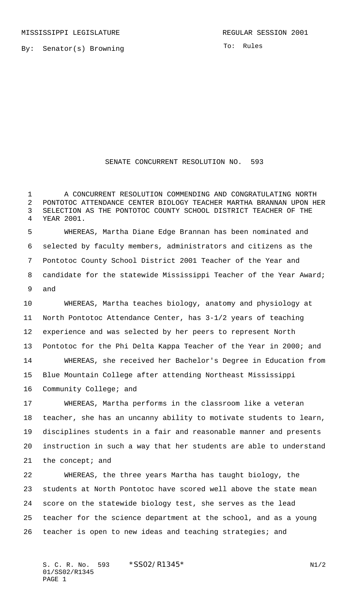By: Senator(s) Browning

To: Rules

## SENATE CONCURRENT RESOLUTION NO. 593

 A CONCURRENT RESOLUTION COMMENDING AND CONGRATULATING NORTH PONTOTOC ATTENDANCE CENTER BIOLOGY TEACHER MARTHA BRANNAN UPON HER SELECTION AS THE PONTOTOC COUNTY SCHOOL DISTRICT TEACHER OF THE YEAR 2001.

 WHEREAS, Martha Diane Edge Brannan has been nominated and selected by faculty members, administrators and citizens as the Pontotoc County School District 2001 Teacher of the Year and 8 candidate for the statewide Mississippi Teacher of the Year Award; and

 WHEREAS, Martha teaches biology, anatomy and physiology at North Pontotoc Attendance Center, has 3-1/2 years of teaching experience and was selected by her peers to represent North Pontotoc for the Phi Delta Kappa Teacher of the Year in 2000; and WHEREAS, she received her Bachelor's Degree in Education from Blue Mountain College after attending Northeast Mississippi Community College; and

 WHEREAS, Martha performs in the classroom like a veteran teacher, she has an uncanny ability to motivate students to learn, disciplines students in a fair and reasonable manner and presents instruction in such a way that her students are able to understand the concept; and

 WHEREAS, the three years Martha has taught biology, the students at North Pontotoc have scored well above the state mean score on the statewide biology test, she serves as the lead teacher for the science department at the school, and as a young teacher is open to new ideas and teaching strategies; and